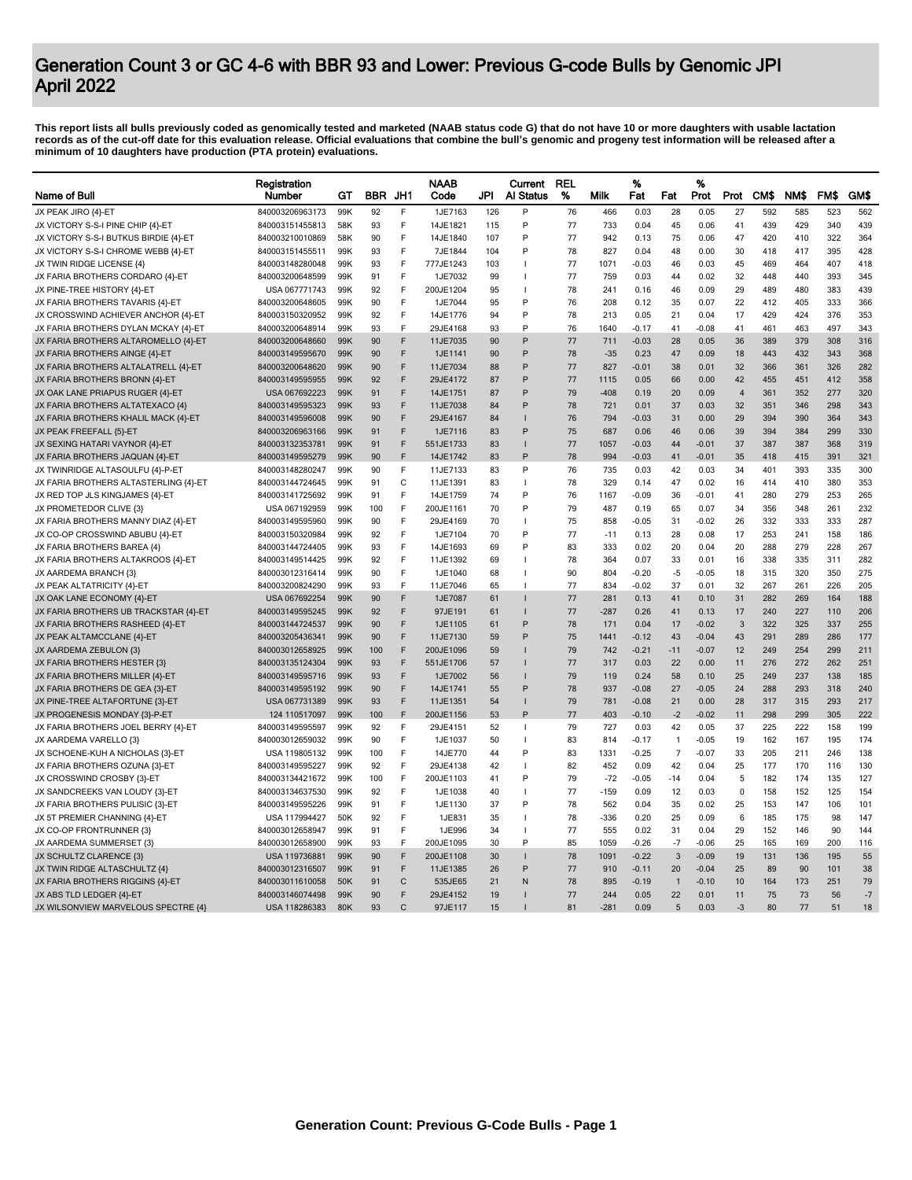## Generation Count 3 or GC 4-6 with BBR 93 and Lower: Previous G-code Bulls by Genomic JPI April 2022

This report lists all bulls previously coded as genomically tested and marketed (NAAB status code G) that do not have 10 or more daughters with usable lactation<br>records as of the cut-off date for this evaluation release. O

|                                       | Registration    |                 |            |              | <b>NAAB</b> |     | Current          | <b>REL</b> |        | %       |                | %       |                |            |      |      |      |
|---------------------------------------|-----------------|-----------------|------------|--------------|-------------|-----|------------------|------------|--------|---------|----------------|---------|----------------|------------|------|------|------|
| Name of Bull                          | Number          | GТ              | <b>BBR</b> | JH1          | Code        | JPI | <b>Al Status</b> | %          | Milk   | Fat     | Fat            | Prot    | Prot           | <b>CMS</b> | NM\$ | FM\$ | GM\$ |
| JX PEAK JIRO {4}-ET                   | 840003206963173 | 99K             | 92         | F            | 1JE7163     | 126 | P                | 76         | 466    | 0.03    | 28             | 0.05    | 27             | 592        | 585  | 523  | 562  |
| JX VICTORY S-S-I PINE CHIP {4}-ET     | 840003151455813 | 58K             | 93         | F            | 14JE1821    | 115 | P                | 77         | 733    | 0.04    | 45             | 0.06    | 41             | 439        | 429  | 340  | 439  |
| JX VICTORY S-S-I BUTKUS BIRDIE {4}-ET | 840003210010869 | 58K             | 90         | F            | 14JE1840    | 107 | P                | 77         | 942    | 0.13    | 75             | 0.06    | 47             | 420        | 410  | 322  | 364  |
| JX VICTORY S-S-I CHROME WEBB {4}-ET   | 840003151455511 | 99K             | 93         | F            | 7JE1844     | 104 | P                | 78         | 827    | 0.04    | 48             | 0.00    | 30             | 418        | 417  | 395  | 428  |
| JX TWIN RIDGE LICENSE {4}             | 840003148280048 | 99K             | 93         | F            | 777JE1243   | 103 |                  | 77         | 1071   | $-0.03$ | 46             | 0.03    | 45             | 469        | 464  | 407  | 418  |
| JX FARIA BROTHERS CORDARO {4}-ET      | 840003200648599 | 99K             | 91         | F            | 1JE7032     | 99  |                  | 77         | 759    | 0.03    | 44             | 0.02    | 32             | 448        | 440  | 393  | 345  |
| JX PINE-TREE HISTORY {4}-ET           | USA 067771743   | 99K             | 92         | F            | 200JE1204   | 95  |                  | 78         | 241    | 0.16    | 46             | 0.09    | 29             | 489        | 480  | 383  | 439  |
| JX FARIA BROTHERS TAVARIS {4}-ET      | 840003200648605 | 99K             | 90         | F            | 1JE7044     | 95  | P                | 76         | 208    | 0.12    | 35             | 0.07    | 22             | 412        | 405  | 333  | 366  |
| JX CROSSWIND ACHIEVER ANCHOR {4}-ET   | 840003150320952 | 99K             | 92         | F            | 14JE1776    | 94  | P                | 78         | 213    | 0.05    | 21             | 0.04    | 17             | 429        | 424  | 376  | 353  |
| JX FARIA BROTHERS DYLAN MCKAY {4}-ET  | 840003200648914 | 99K             | 93         | F            | 29JE4168    | 93  | P                | 76         | 1640   | $-0.17$ | 41             | $-0.08$ | 41             | 461        | 463  | 497  | 343  |
| JX FARIA BROTHERS ALTAROMELLO {4}-ET  | 840003200648660 | 99K             | 90         | F            | 11JE7035    | 90  | P                | 77         | 711    | $-0.03$ | 28             | 0.05    | 36             | 389        | 379  | 308  | 316  |
| JX FARIA BROTHERS AINGE {4}-ET        | 840003149595670 | 99K             | 90         | F            | 1JE1141     | 90  | P                | 78         | $-35$  | 0.23    | 47             | 0.09    | 18             | 443        | 432  | 343  | 368  |
| JX FARIA BROTHERS ALTALATRELL {4}-ET  | 840003200648620 | 99K             | 90         | F            | 11JE7034    | 88  | P                | 77         | 827    | $-0.01$ | 38             | 0.01    | 32             | 366        | 361  | 326  | 282  |
| JX FARIA BROTHERS BRONN {4}-ET        | 840003149595955 | 99K             | 92         | F            | 29JE4172    | 87  | P                | 77         | 1115   | 0.05    | 66             | 0.00    | 42             | 455        | 451  | 412  | 358  |
| JX OAK LANE PRIAPUS RUGER {4}-ET      | USA 067692223   | 99K             | 91         | F            | 14JE1751    | 87  | P                | 79         | $-408$ | 0.19    | 20             | 0.09    | $\overline{4}$ | 361        | 352  | 277  | 320  |
| JX FARIA BROTHERS ALTATEXACO {4}      | 840003149595323 | 99K             | 93         | F            | 11JE7038    | 84  | P                | 78         | 721    | 0.01    | 37             | 0.03    | 32             | 351        | 346  | 298  | 343  |
| JX FARIA BROTHERS KHALIL MACK {4}-ET  | 840003149596008 | 99K             | 90         | F            | 29JE4167    | 84  |                  | 76         | 794    | $-0.03$ | 31             | 0.00    | 29             | 394        | 390  | 364  | 343  |
| JX PEAK FREEFALL {5}-ET               | 840003206963166 | 99K             | 91         | E            | 1JE7116     | 83  | P                | 75         | 687    | 0.06    | 46             | 0.06    | 39             | 394        | 384  | 299  | 330  |
| JX SEXING HATARI VAYNOR {4}-ET        | 840003132353781 | 99K             | 91         | F            | 551JE1733   | 83  |                  | 77         | 1057   | $-0.03$ | 44             | $-0.01$ | 37             | 387        | 387  | 368  | 319  |
| JX FARIA BROTHERS JAQUAN {4}-ET       | 840003149595279 | 99K             | 90         | F            | 14JE1742    | 83  | P                | 78         | 994    | $-0.03$ | 41             | $-0.01$ | 35             | 418        | 415  | 391  | 321  |
|                                       |                 |                 |            |              |             |     | P                |            |        |         |                |         |                |            |      |      |      |
| JX TWINRIDGE ALTASOULFU {4}-P-E1      | 840003148280247 | 99K             | 90         | F            | 11JE7133    | 83  |                  | 76         | 735    | 0.03    | 42             | 0.03    | 34             | 401        | 393  | 335  | 300  |
| JX FARIA BROTHERS ALTASTERLING {4}-ET | 840003144724645 | 99K             | 91         | C            | 11JE1391    | 83  |                  | 78         | 329    | 0.14    | 47             | 0.02    | 16             | 414        | 410  | 380  | 353  |
| JX RED TOP JLS KINGJAMES {4}-ET       | 840003141725692 | 99K             | 91         | F            | 14JE1759    | 74  | P                | 76         | 1167   | $-0.09$ | 36             | $-0.01$ | 41             | 280        | 279  | 253  | 265  |
| JX PROMETEDOR CLIVE {3}               | USA 067192959   | 99K             | 100        | F            | 200JE1161   | 70  | P                | 79         | 487    | 0.19    | 65             | 0.07    | 34             | 356        | 348  | 261  | 232  |
| JX FARIA BROTHERS MANNY DIAZ {4}-ET   | 840003149595960 | 99K             | 90         | F            | 29JE4169    | 70  |                  | 75         | 858    | $-0.05$ | 31             | $-0.02$ | 26             | 332        | 333  | 333  | 287  |
| JX CO-OP CROSSWIND ABUBU {4}-ET       | 840003150320984 | 99K             | 92         | F            | 1JE7104     | 70  | P                | 77         | $-11$  | 0.13    | 28             | 0.08    | 17             | 253        | 241  | 158  | 186  |
| JX FARIA BROTHERS BAREA {4}           | 840003144724405 | 99K             | 93         | F            | 14JE1693    | 69  | P                | 83         | 333    | 0.02    | 20             | 0.04    | 20             | 288        | 279  | 228  | 267  |
| JX FARIA BROTHERS ALTAKROOS {4}-ET    | 840003149514425 | 99K             | 92         | F            | 11JE1392    | 69  |                  | 78         | 364    | 0.07    | 33             | 0.01    | 16             | 338        | 335  | 311  | 282  |
| JX AARDEMA BRANCH {3}                 | 840003012316414 | 99K             | 90         | F            | 1JE1040     | 68  |                  | 90         | 804    | $-0.20$ | $-5$           | $-0.05$ | 18             | 315        | 320  | 350  | 275  |
| JX PEAK ALTATRICITY {4}-ET            | 840003200824290 | 99K             | 93         | F            | 11JE7046    | 65  |                  | 77         | 834    | $-0.02$ | 37             | 0.01    | 32             | 267        | 261  | 226  | 205  |
| JX OAK LANE ECONOMY {4}-ET            | USA 067692254   | 99K             | 90         | F            | 1JE7087     | 61  |                  | 77         | 281    | 0.13    | 41             | 0.10    | 31             | 282        | 269  | 164  | 188  |
| JX FARIA BROTHERS UB TRACKSTAR {4}-ET | 840003149595245 | 99K             | 92         | F            | 97JE191     | 61  |                  | 77         | -287   | 0.26    | 41             | 0.13    | 17             | 240        | 227  | 110  | 206  |
| JX FARIA BROTHERS RASHEED {4}-ET      | 840003144724537 | 99K             | 90         | F            | 1JE1105     | 61  | P                | 78         | 171    | 0.04    | 17             | $-0.02$ | 3              | 322        | 325  | 337  | 255  |
| JX PEAK ALTAMCCLANE {4}-ET            | 840003205436341 | 99K             | 90         | E            | 11JE7130    | 59  | P                | 75         | 1441   | $-0.12$ | 43             | $-0.04$ | 43             | 291        | 289  | 286  | 177  |
| JX AARDEMA ZEBULON {3}                | 840003012658925 | 99K             | 100        | F            | 200JE1096   | 59  |                  | 79         | 742    | $-0.21$ | $-11$          | $-0.07$ | 12             | 249        | 254  | 299  | 211  |
| JX FARIA BROTHERS HESTER {3}          | 840003135124304 | 99K             | 93         | F            | 551JE1706   | 57  |                  | 77         | 317    | 0.03    | 22             | 0.00    | 11             | 276        | 272  | 262  | 251  |
| JX FARIA BROTHERS MILLER {4}-ET       | 840003149595716 | 99K             | 93         | F            | 1JE7002     | 56  |                  | 79         | 119    | 0.24    | 58             | 0.10    | 25             | 249        | 237  | 138  | 185  |
| JX FARIA BROTHERS DE GEA {3}-ET       | 840003149595192 | 99K             | 90         | F            | 14JE1741    | 55  | P                | 78         | 937    | $-0.08$ | 27             | $-0.05$ | 24             | 288        | 293  | 318  | 240  |
| JX PINE-TREE ALTAFORTUNE {3}-ET       | USA 067731389   | 99K             | 93         | F            | 11JE1351    | 54  |                  | 79         | 781    | $-0.08$ | 21             | 0.00    | 28             | 317        | 315  | 293  | 217  |
| JX PROGENESIS MONDAY {3}-P-ET         | 124 110517097   | 99K             | 100        | F            | 200JE1156   | 53  | P                | 77         | 403    | $-0.10$ | $-2$           | $-0.02$ | 11             | 298        | 299  | 305  | 222  |
| JX FARIA BROTHERS JOEL BERRY {4}-ET   | 840003149595597 | 99K             | 92         | E            | 29JE4151    | 52  | $\mathbf{I}$     | 79         | 727    | 0.03    | 42             | 0.05    | 37             | 225        | 222  | 158  | 199  |
| JX AARDEMA VARELLO {3}                | 840003012659032 | 99K             | 90         | F            | 1JE1037     | 50  |                  | 83         | 814    | $-0.17$ | $\overline{1}$ | $-0.05$ | 19             | 162        | 167  | 195  | 174  |
| JX SCHOENE-KUH A NICHOLAS {3}-ET      | USA 119805132   | 99K             | 100        | F            | 14JE770     | 44  | P                | 83         | 1331   | $-0.25$ | $\overline{7}$ | -0.07   | 33             | 205        | 211  | 246  | 138  |
| JX FARIA BROTHERS OZUNA {3}-ET        | 840003149595227 | 99K             | 92         | F            | 29JE4138    | 42  |                  | 82         | 452    | 0.09    | 42             | 0.04    | 25             | 177        | 170  | 116  | 130  |
| JX CROSSWIND CROSBY {3}-ET            | 840003134421672 | 99K             | 100        | F            | 200JE1103   | 41  | P                | 79         | $-72$  | $-0.05$ | $-14$          | 0.04    | 5              | 182        | 174  | 135  | 127  |
| JX SANDCREEKS VAN LOUDY {3}-ET        | 840003134637530 | 99K             | 92         | F            | 1JE1038     | 40  |                  | 77         | $-159$ | 0.09    | 12             | 0.03    | $\mathbf 0$    | 158        | 152  | 125  | 154  |
| JX FARIA BROTHERS PULISIC {3}-ET      | 840003149595226 | 99K             | 91         | F            | 1JE1130     | 37  | P                | 78         | 562    | 0.04    | 35             | 0.02    | 25             | 153        | 147  | 106  | 101  |
| JX 5T PREMIER CHANNING {4}-ET         | USA 117994427   | 50K             | 92         | F            | 1JE831      | 35  |                  | 78         | -336   | 0.20    | 25             | 0.09    | 6              | 185        | 175  | 98   | 147  |
| JX CO-OP FRONTRUNNER {3}              | 840003012658947 | 99K             | 91         | F            | 1JE996      | 34  |                  | 77         | 555    | 0.02    | 31             | 0.04    | 29             | 152        | 146  | 90   | 144  |
| JX AARDEMA SUMMERSET {3}              | 840003012658900 | 99K             | 93         | E            | 200JE1095   | 30  | P                | 85         | 1059   | $-0.26$ | $-7$           | $-0.06$ | 25             | 165        | 169  | 200  | 116  |
|                                       |                 | 99K             | 90         | E            | 200JE1108   | 30  |                  | 78         | 1091   | $-0.22$ | $\mathbf{3}$   | $-0.09$ | 19             | 131        | 136  | 195  | 55   |
| JX SCHULTZ CLARENCE {3}               | USA 119736881   |                 |            |              |             |     | P                |            |        |         |                |         |                |            |      |      |      |
| JX TWIN RIDGE ALTASCHULTZ {4}         | 840003012316507 | 99K             | 91         | F            | 11JE1385    | 26  |                  | 77         | 910    | $-0.11$ | 20             | $-0.04$ | 25             | 89         | 90   | 101  | 38   |
| JX FARIA BROTHERS RIGGINS {4}-ET      | 840003011610058 | 50 <sub>K</sub> | 91         | $\mathsf{C}$ | 535JE65     | 21  | N                | 78         | 895    | $-0.19$ | $\overline{1}$ | $-0.10$ | 10             | 164        | 173  | 251  | 79   |
| JX ABS TLD LEDGER {4}-ET              | 840003146074498 | 99K             | 90         | F            | 29JE4152    | 19  |                  | 77         | 244    | 0.05    | 22             | 0.01    | 11             | 75         | 73   | 56   | $-7$ |
| JX WILSONVIEW MARVELOUS SPECTRE {4}   | USA 118286383   | 80K             | 93         | $\mathsf{C}$ | 97JE117     | 15  |                  | 81         | $-281$ | 0.09    | 5              | 0.03    | $-3$           | 80         | 77   | 51   | 18   |